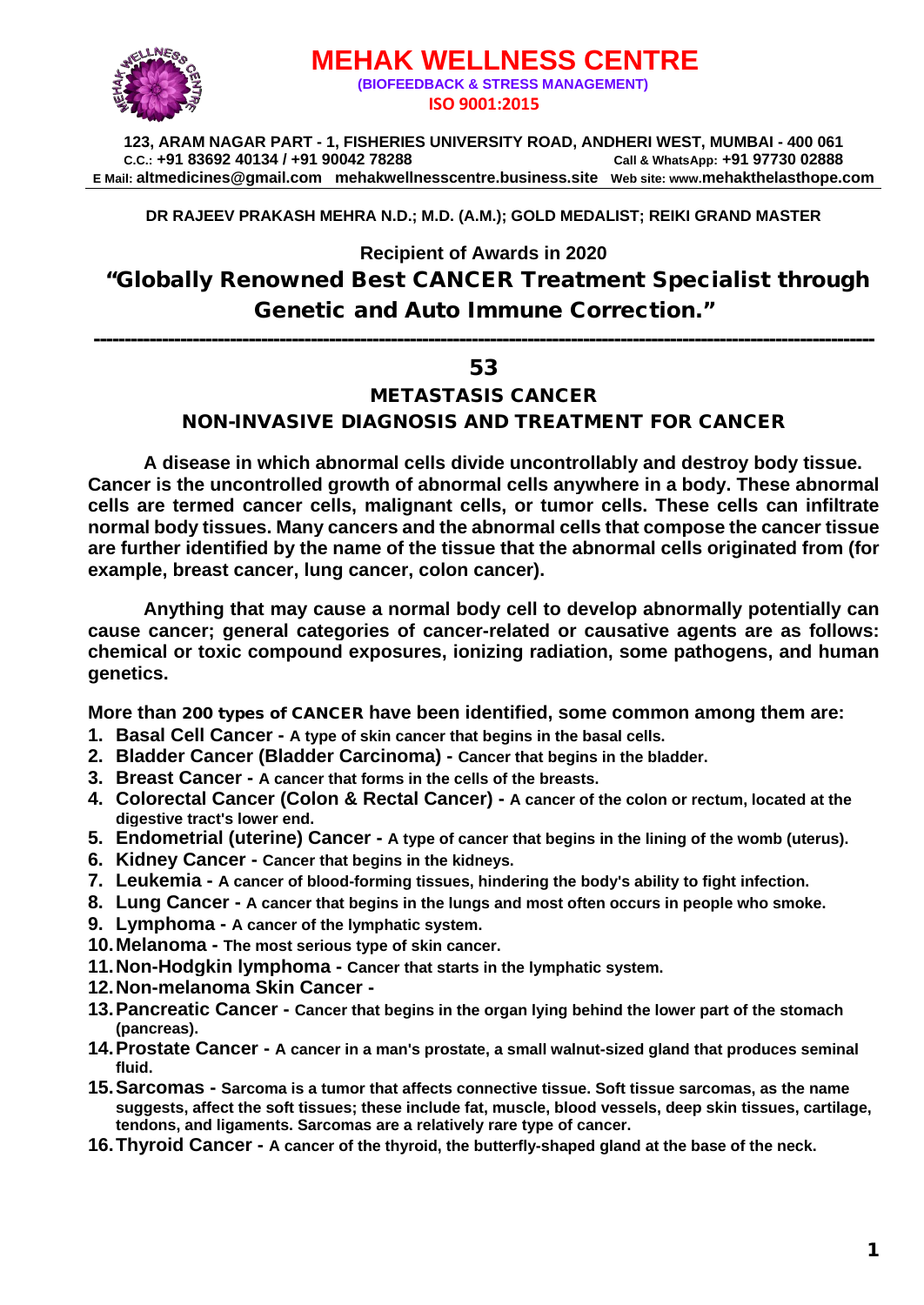

# **MEHAK WELLNESS CENTRE (BIOFEEDBACK & STRESS MANAGEMENT) ISO 9001:2015**

**123, ARAM NAGAR PART - 1, FISHERIES UNIVERSITY ROAD, ANDHERI WEST, MUMBAI - 400 061 C.C.: +91 83692 40134 / +91 90042 78288 Call & WhatsApp: +91 97730 02888 E Mail: [altmedicines@gmail.com](mailto:altmedicines@gmail.com) mehakwellnesscentre.business.site Web site: www.mehakthelasthope.com**

## **DR RAJEEV PRAKASH MEHRA N.D.; M.D. (A.M.); GOLD MEDALIST; REIKI GRAND MASTER**

## **Recipient of Awards in 2020**

# "Globally Renowned Best CANCER Treatment Specialist through Genetic and Auto Immune Correction."

------------------------------------------------------------------------------------------------------------------------------

## 53

## METASTASIS CANCER

NON-INVASIVE DIAGNOSIS AND TREATMENT FOR CANCER

**A disease in which abnormal cells divide uncontrollably and destroy body tissue. Cancer is the uncontrolled growth of abnormal cells anywhere in a body. These abnormal cells are termed cancer cells, malignant cells, or tumor cells. These cells can infiltrate normal body tissues. Many cancers and the abnormal cells that compose the cancer tissue are further identified by the name of the tissue that the abnormal cells originated from (for example, breast cancer, lung cancer, colon cancer).**

**Anything that may cause a normal body cell to develop abnormally potentially can cause cancer; general categories of cancer-related or causative agents are as follows: chemical or toxic compound exposures, ionizing radiation, some pathogens, and human genetics.**

**More than** 200 types of CANCER **have been identified, some common among them are:** 

- **1. Basal Cell Cancer - A type of skin cancer that begins in the basal cells.**
- **2. Bladder Cancer (Bladder Carcinoma) - Cancer that begins in the bladder.**
- **3. Breast Cancer - A cancer that forms in the cells of the breasts.**
- **4. Colorectal Cancer (Colon & Rectal Cancer) - A cancer of the colon or rectum, located at the digestive tract's lower end.**
- **5. Endometrial (uterine) Cancer - A type of cancer that begins in the lining of the womb (uterus).**
- **6. Kidney Cancer - Cancer that begins in the kidneys.**
- **7. Leukemia - A cancer of blood-forming tissues, hindering the body's ability to fight infection.**
- **8. Lung Cancer - A cancer that begins in the lungs and most often occurs in people who smoke.**
- **9. Lymphoma - A cancer of the lymphatic system.**
- **10.Melanoma - The most serious type of skin cancer.**
- **11.Non-Hodgkin lymphoma - Cancer that starts in the lymphatic system.**
- **12.Non-melanoma Skin Cancer -**
- **13.Pancreatic Cancer - Cancer that begins in the organ lying behind the lower part of the stomach (pancreas).**
- **14.Prostate Cancer - A cancer in a man's prostate, a small walnut-sized gland that produces seminal fluid.**
- **15.Sarcomas - Sarcoma is a tumor that affects connective tissue. Soft tissue sarcomas, as the name suggests, affect the soft tissues; these include fat, muscle, blood vessels, deep skin tissues, cartilage, tendons, and ligaments. Sarcomas are a relatively rare type of cancer.**
- **16.Thyroid Cancer - A cancer of the thyroid, the butterfly-shaped gland at the base of the neck.**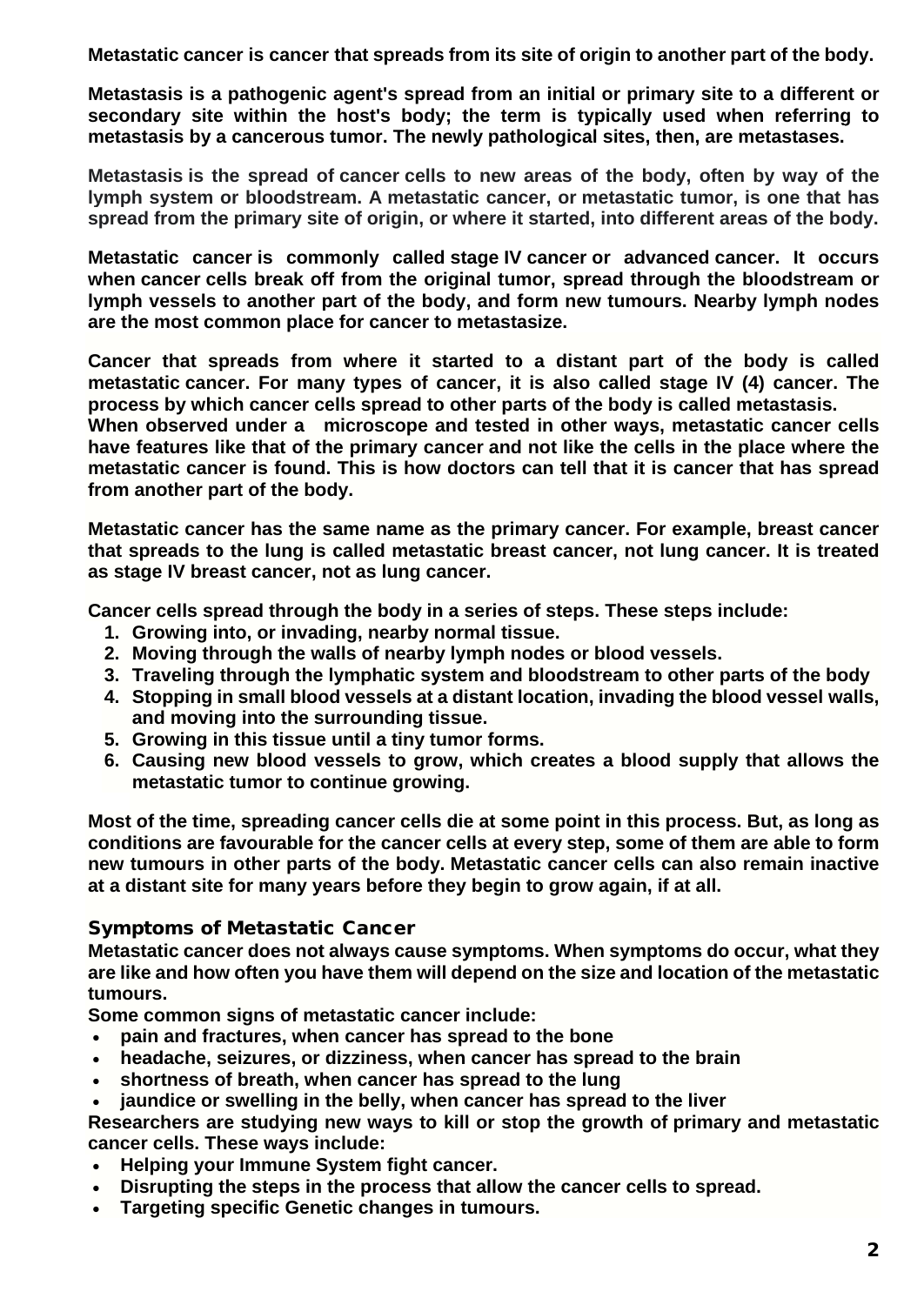**Metastatic cancer is cancer that spreads from its site of origin to another part of the body.**

**Metastasis is a pathogenic agent's spread from an initial or primary site to a different or secondary site within the host's body; the term is typically used when referring to metastasis by a cancerous tumor. The newly pathological sites, then, are metastases.**

**Metastasis is the spread of cancer cells to new areas of the body, often by way of the lymph system or bloodstream. A metastatic cancer, or metastatic tumor, is one that has spread from the primary site of origin, or where it started, into different areas of the body.**

**Metastatic cancer is commonly called stage IV cancer or advanced cancer. It occurs when cancer cells break off from the original tumor, spread through the bloodstream or lymph vessels to another part of the body, and form new tumours. Nearby lymph nodes are the most common place for cancer to metastasize.**

**Cancer that spreads from where it started to a distant part of the body is called metastatic cancer. For many types of cancer, it is also called stage IV (4) cancer. The process by which cancer cells spread to other parts of the body is called metastasis. When observed under a microscope and tested in other ways, metastatic cancer cells have features like that of the primary cancer and not like the cells in the place where the metastatic cancer is found. This is how doctors can tell that it is cancer that has spread from another part of the body.**

**Metastatic cancer has the same name as the primary cancer. For example, breast cancer that spreads to the lung is called metastatic breast cancer, not lung cancer. It is treated as stage IV breast cancer, not as lung cancer.**

**Cancer cells spread through the body in a series of steps. These steps include:**

- **1. Growing into, or invading, nearby normal tissue.**
- **2. Moving through the walls of nearby lymph nodes or blood vessels.**
- **3. Traveling through the lymphatic system and bloodstream to other parts of the body**
- **4. Stopping in small blood vessels at a distant location, invading the blood vessel walls, and moving into the surrounding tissue.**
- **5. Growing in this tissue until a tiny tumor forms.**
- **6. Causing new blood vessels to grow, which creates a blood supply that allows the metastatic tumor to continue growing.**

**Most of the time, spreading cancer cells die at some point in this process. But, as long as conditions are favourable for the cancer cells at every step, some of them are able to form new tumours in other parts of the body. Metastatic cancer cells can also remain inactive at a distant site for many years before they begin to grow again, if at all.**

## Symptoms of Metastatic Cancer

**Metastatic cancer does not always cause symptoms. When symptoms do occur, what they are like and how often you have them will depend on the size and location of the metastatic tumours.** 

**Some common signs of metastatic cancer include:**

- **pain and fractures, when cancer has spread to the bone**
- **headache, seizures, or dizziness, when cancer has spread to the brain**
- **shortness of breath, when cancer has spread to the lung**
- **jaundice or swelling in the belly, when cancer has spread to the liver**

**Researchers are studying new ways to kill or stop the growth of primary and metastatic cancer cells. These ways include:**

- **Helping your Immune System fight cancer.**
- **Disrupting the steps in the process that allow the cancer cells to spread.**
- **Targeting specific Genetic changes in tumours.**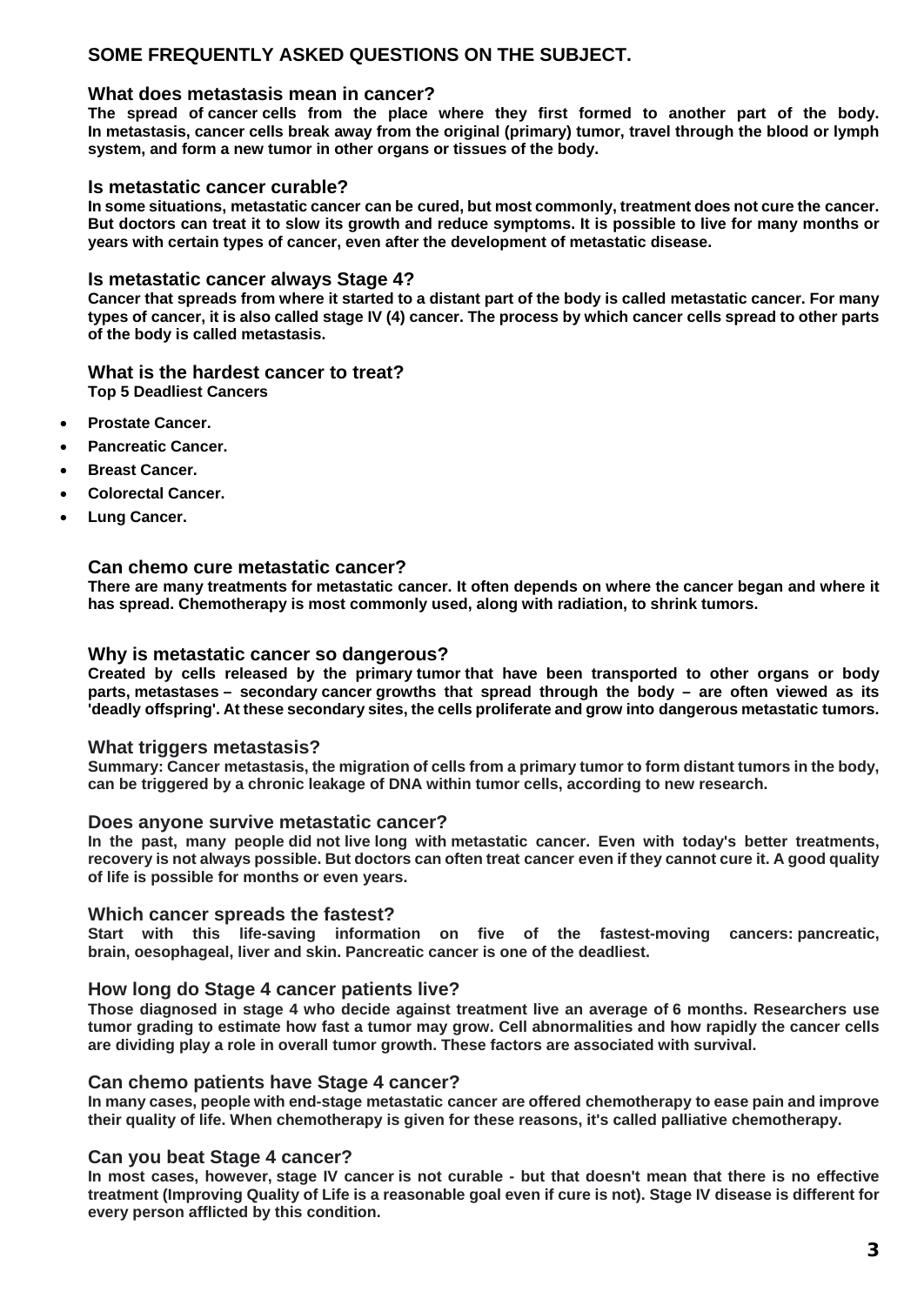## **SOME FREQUENTLY ASKED QUESTIONS ON THE SUBJECT.**

### **What does metastasis mean in cancer?**

**The spread of cancer cells from the place where they first formed to another part of the body. In metastasis, cancer cells break away from the original (primary) tumor, travel through the blood or lymph system, and form a new tumor in other organs or tissues of the body.**

#### **Is metastatic cancer curable?**

**In some situations, metastatic cancer can be cured, but most commonly, treatment does not cure the cancer. But doctors can treat it to slow its growth and reduce symptoms. It is possible to live for many months or years with certain types of cancer, even after the development of metastatic disease.**

#### **Is metastatic cancer always Stage 4?**

**Cancer that spreads from where it started to a distant part of the body is called metastatic cancer. For many types of cancer, it is also called stage IV (4) cancer. The process by which cancer cells spread to other parts of the body is called metastasis.**

### **What is the hardest cancer to treat?**

**Top 5 Deadliest Cancers**

- **Prostate Cancer.**
- **Pancreatic Cancer.**
- **Breast Cancer.**
- **Colorectal Cancer.**
- **Lung Cancer.**

#### **Can chemo cure metastatic cancer?**

**There are many treatments for metastatic cancer. It often depends on where the cancer began and where it has spread. Chemotherapy is most commonly used, along with radiation, to shrink tumors.**

#### **Why is metastatic cancer so dangerous?**

**Created by cells released by the primary tumor that have been transported to other organs or body parts, metastases – secondary cancer growths that spread through the body – are often viewed as its 'deadly offspring'. At these secondary sites, the cells proliferate and grow into dangerous metastatic tumors.**

#### **What triggers metastasis?**

**Summary: Cancer metastasis, the migration of cells from a primary tumor to form distant tumors in the body, can be triggered by a chronic leakage of DNA within tumor cells, according to new research.**

#### **Does anyone survive metastatic cancer?**

**In the past, many people did not live long with metastatic cancer. Even with today's better treatments, recovery is not always possible. But doctors can often treat cancer even if they cannot cure it. A good quality of life is possible for months or even years.**

#### **Which cancer spreads the fastest?**

**Start with this life-saving information on five of the fastest-moving cancers: pancreatic, brain, oesophageal, liver and skin. Pancreatic cancer is one of the deadliest.**

#### **How long do Stage 4 cancer patients live?**

**Those diagnosed in stage 4 who decide against treatment live an average of 6 months. Researchers use tumor grading to estimate how fast a tumor may grow. Cell abnormalities and how rapidly the cancer cells are dividing play a role in overall tumor growth. These factors are associated with survival.**

#### **Can chemo patients have Stage 4 cancer?**

**In many cases, people with end-stage metastatic cancer are offered chemotherapy to ease pain and improve their quality of life. When chemotherapy is given for these reasons, it's called palliative chemotherapy.**

#### **Can you beat Stage 4 cancer?**

**In most cases, however, stage IV cancer is not curable - but that doesn't mean that there is no effective treatment (Improving Quality of Life is a reasonable goal even if cure is not). Stage IV disease is different for every person afflicted by this condition.**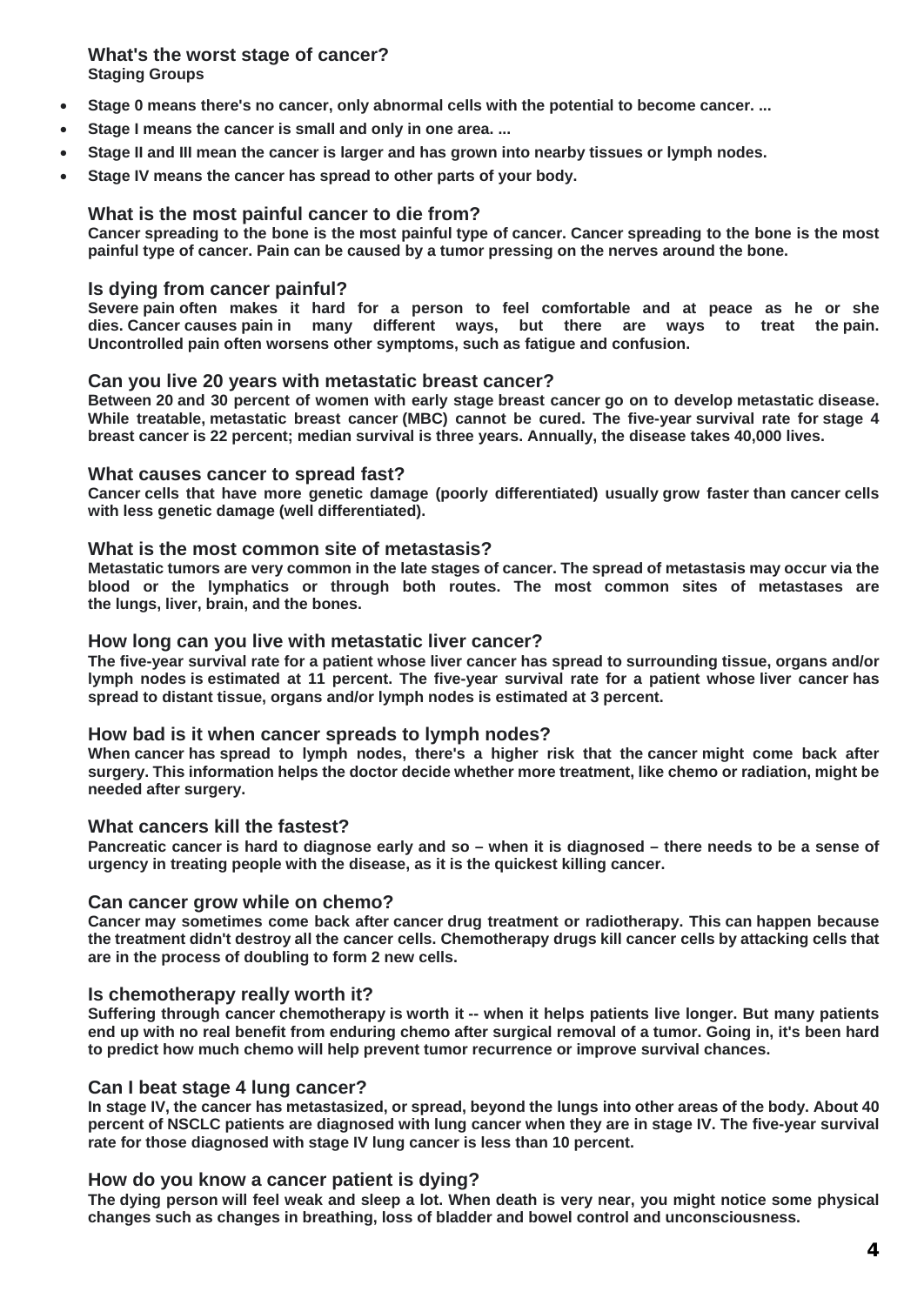**What's the worst stage of cancer? Staging Groups**

- **Stage 0 means there's no cancer, only abnormal cells with the potential to become cancer. ...**
- Stage I means the cancer is small and only in one area. ...
- **Stage II and III mean the cancer is larger and has grown into nearby tissues or lymph nodes.**
- **Stage IV means the cancer has spread to other parts of your body.**

#### **What is the most painful cancer to die from?**

**Cancer spreading to the bone is the most painful type of cancer. Cancer spreading to the bone is the most painful type of cancer. Pain can be caused by a tumor pressing on the nerves around the bone.**

#### **Is dying from cancer painful?**

**Severe pain often makes it hard for a person to feel comfortable and at peace as he or she dies. Cancer causes pain in many different ways, but there are ways to treat the pain. Uncontrolled pain often worsens other symptoms, such as fatigue and confusion.**

#### **Can you live 20 years with metastatic breast cancer?**

**Between 20 and 30 percent of women with early stage breast cancer go on to develop metastatic disease. While treatable, metastatic breast cancer (MBC) cannot be cured. The five-year survival rate for stage 4 breast cancer is 22 percent; median survival is three years. Annually, the disease takes 40,000 lives.**

#### **What causes cancer to spread fast?**

**Cancer cells that have more genetic damage (poorly differentiated) usually grow faster than cancer cells with less genetic damage (well differentiated).**

#### **What is the most common site of metastasis?**

**Metastatic tumors are very common in the late stages of cancer. The spread of metastasis may occur via the blood or the lymphatics or through both routes. The most common sites of metastases are the lungs, liver, brain, and the bones.**

#### **How long can you live with metastatic liver cancer?**

**The five-year survival rate for a patient whose liver cancer has spread to surrounding tissue, organs and/or lymph nodes is estimated at 11 percent. The five-year survival rate for a patient whose liver cancer has spread to distant tissue, organs and/or lymph nodes is estimated at 3 percent.**

#### **How bad is it when cancer spreads to lymph nodes?**

**When cancer has spread to lymph nodes, there's a higher risk that the cancer might come back after surgery. This information helps the doctor decide whether more treatment, like chemo or radiation, might be needed after surgery.**

#### **What cancers kill the fastest?**

**Pancreatic cancer is hard to diagnose early and so – when it is diagnosed – there needs to be a sense of urgency in treating people with the disease, as it is the quickest killing cancer.**

#### **Can cancer grow while on chemo?**

**Cancer may sometimes come back after cancer drug treatment or radiotherapy. This can happen because the treatment didn't destroy all the cancer cells. Chemotherapy drugs kill cancer cells by attacking cells that are in the process of doubling to form 2 new cells.**

#### **Is chemotherapy really worth it?**

**Suffering through cancer chemotherapy is worth it -- when it helps patients live longer. But many patients end up with no real benefit from enduring chemo after surgical removal of a tumor. Going in, it's been hard to predict how much chemo will help prevent tumor recurrence or improve survival chances.**

#### **Can I beat stage 4 lung cancer?**

**In stage IV, the cancer has metastasized, or spread, beyond the lungs into other areas of the body. About 40 percent of NSCLC patients are diagnosed with lung cancer when they are in stage IV. The five-year survival rate for those diagnosed with stage IV lung cancer is less than 10 percent.**

#### **How do you know a cancer patient is dying?**

**The dying person will feel weak and sleep a lot. When death is very near, you might notice some physical changes such as changes in breathing, loss of bladder and bowel control and unconsciousness.**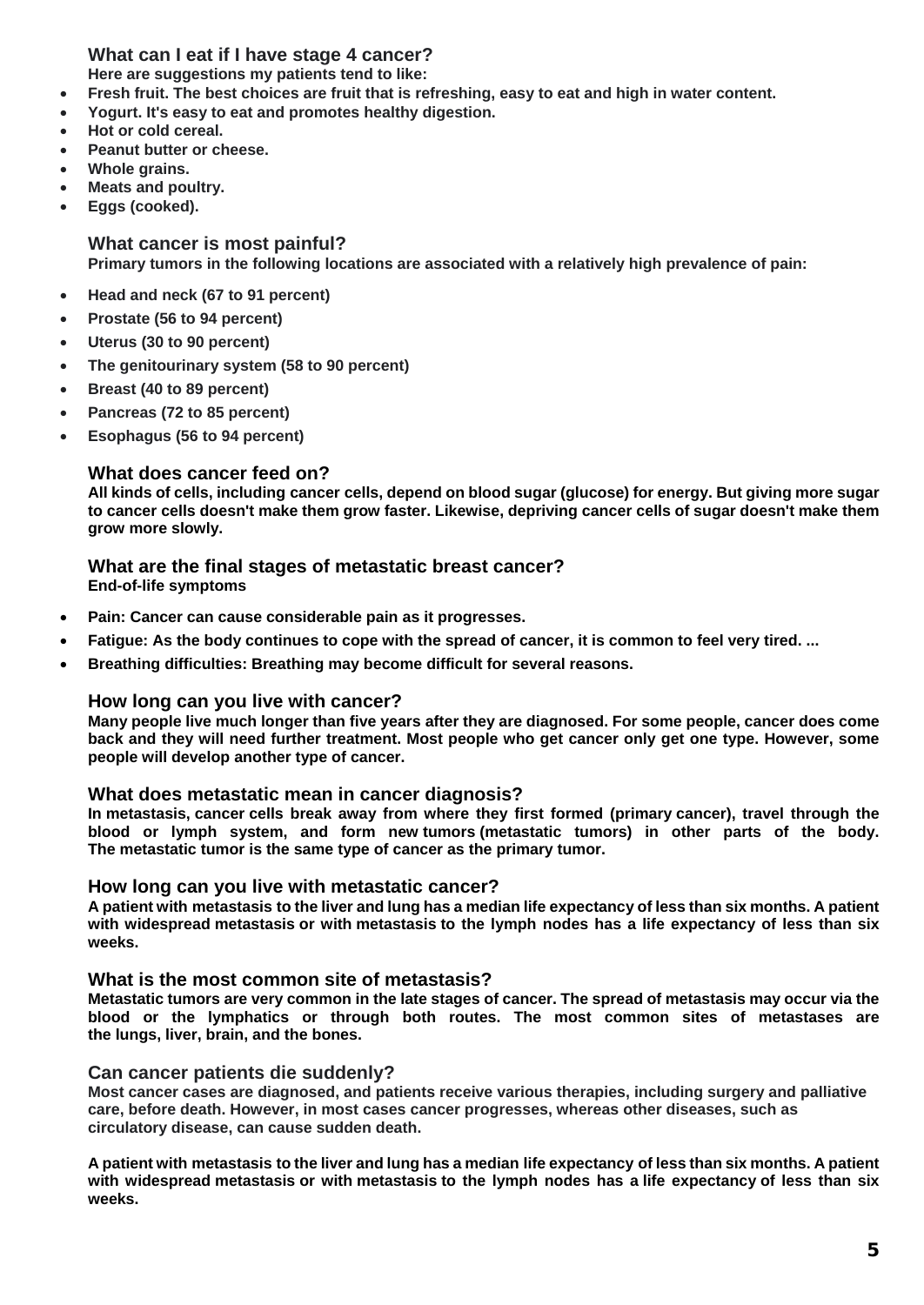## **What can I eat if I have stage 4 cancer?**

**Here are suggestions my patients tend to like:**

- **Fresh fruit. The best choices are fruit that is refreshing, easy to eat and high in water content.**
- **Yogurt. It's easy to eat and promotes healthy digestion.**
- **Hot or cold cereal.**
- **Peanut butter or cheese.**
- **Whole grains.**
- **Meats and poultry.**
- **Eggs (cooked).**

#### **What cancer is most painful? Primary tumors in the following locations are associated with a relatively high prevalence of pain:**

- **Head and neck (67 to 91 percent)**
- **Prostate (56 to 94 percent)**
- **Uterus (30 to 90 percent)**
- **The genitourinary system (58 to 90 percent)**
- **Breast (40 to 89 percent)**
- **Pancreas (72 to 85 percent)**
- **Esophagus (56 to 94 percent)**

## **What does cancer feed on?**

**All kinds of cells, including cancer cells, depend on blood sugar (glucose) for energy. But giving more sugar to cancer cells doesn't make them grow faster. Likewise, depriving cancer cells of sugar doesn't make them grow more slowly.**

# **What are the final stages of metastatic breast cancer?**

**End-of-life symptoms**

- **Pain: Cancer can cause considerable pain as it progresses.**
- **Fatigue: As the body continues to cope with the spread of cancer, it is common to feel very tired. ...**
- **Breathing difficulties: Breathing may become difficult for several reasons.**

## **How long can you live with cancer?**

**Many people live much longer than five years after they are diagnosed. For some people, cancer does come back and they will need further treatment. Most people who get cancer only get one type. However, some people will develop another type of cancer.**

## **What does metastatic mean in cancer diagnosis?**

**In metastasis, cancer cells break away from where they first formed (primary cancer), travel through the blood or lymph system, and form new tumors (metastatic tumors) in other parts of the body. The metastatic tumor is the same type of cancer as the primary tumor.**

#### **How long can you live with metastatic cancer?**

**A patient with metastasis to the liver and lung has a median life expectancy of less than six months. A patient with widespread metastasis or with metastasis to the lymph nodes has a life expectancy of less than six weeks.**

#### **What is the most common site of metastasis?**

**Metastatic tumors are very common in the late stages of cancer. The spread of metastasis may occur via the blood or the lymphatics or through both routes. The most common sites of metastases are the lungs, liver, brain, and the bones.**

## **Can cancer patients die suddenly?**

**Most cancer cases are diagnosed, and patients receive various therapies, including surgery and palliative care, before death. However, in most cases cancer progresses, whereas other diseases, such as circulatory disease, can cause sudden death.**

**A patient with metastasis to the liver and lung has a median life expectancy of less than six months. A patient with widespread metastasis or with metastasis to the lymph nodes has a life expectancy of less than six weeks.**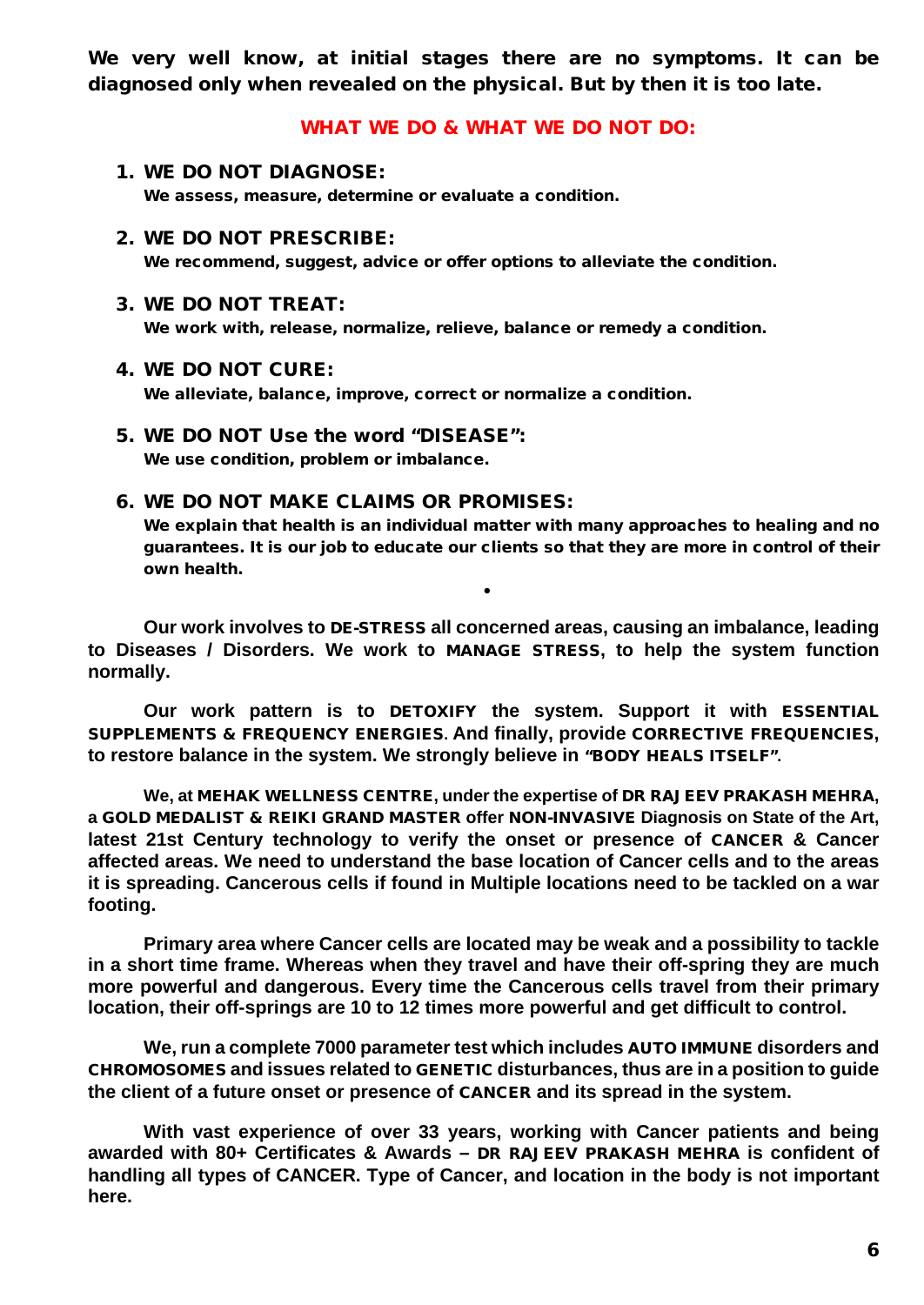We very well know, at initial stages there are no symptoms. It can be diagnosed only when revealed on the physical. But by then it is too late.

## WHAT WE DO & WHAT WE DO NOT DO:

- 1. WE DO NOT DIAGNOSE: We assess, measure, determine or evaluate a condition.
- 2. WE DO NOT PRESCRIBE: We recommend, suggest, advice or offer options to alleviate the condition.
- 3. WE DO NOT TREAT:

We work with, release, normalize, relieve, balance or remedy a condition.

### 4. WE DO NOT CURE:

We alleviate, balance, improve, correct or normalize a condition.

5. WE DO NOT Use the word "DISEASE": We use condition, problem or imbalance.

## 6. WE DO NOT MAKE CLAIMS OR PROMISES:

We explain that health is an individual matter with many approaches to healing and no guarantees. It is our job to educate our clients so that they are more in control of their own health.

**Our work involves to** DE-STRESS **all concerned areas, causing an imbalance, leading to Diseases / Disorders. We work to** MANAGE STRESS**, to help the system function normally.**

•

**Our work pattern is to** DETOXIFY **the system. Support it with** ESSENTIAL SUPPLEMENTS & FREQUENCY ENERGIES**. And finally, provide** CORRECTIVE FREQUENCIES**, to restore balance in the system. We strongly believe in** "BODY HEALS ITSELF"**.**

**We, at** MEHAK WELLNESS CENTRE**, under the expertise of** DR RAJEEV PRAKASH MEHRA**, a** GOLD MEDALIST & REIKI GRAND MASTER **offer** NON-INVASIVE **Diagnosis on State of the Art, latest 21st Century technology to verify the onset or presence of** CANCER **& Cancer affected areas. We need to understand the base location of Cancer cells and to the areas it is spreading. Cancerous cells if found in Multiple locations need to be tackled on a war footing.**

**Primary area where Cancer cells are located may be weak and a possibility to tackle in a short time frame. Whereas when they travel and have their off-spring they are much more powerful and dangerous. Every time the Cancerous cells travel from their primary location, their off-springs are 10 to 12 times more powerful and get difficult to control.** 

**We, run a complete 7000 parameter test which includes** AUTO IMMUNE **disorders and**  CHROMOSOMES **and issues related to** GENETIC **disturbances, thus are in a position to guide the client of a future onset or presence of** CANCER **and its spread in the system.** 

**With vast experience of over 33 years, working with Cancer patients and being awarded with 80+ Certificates & Awards –** DR RAJEEV PRAKASH MEHRA **is confident of handling all types of CANCER. Type of Cancer, and location in the body is not important here.**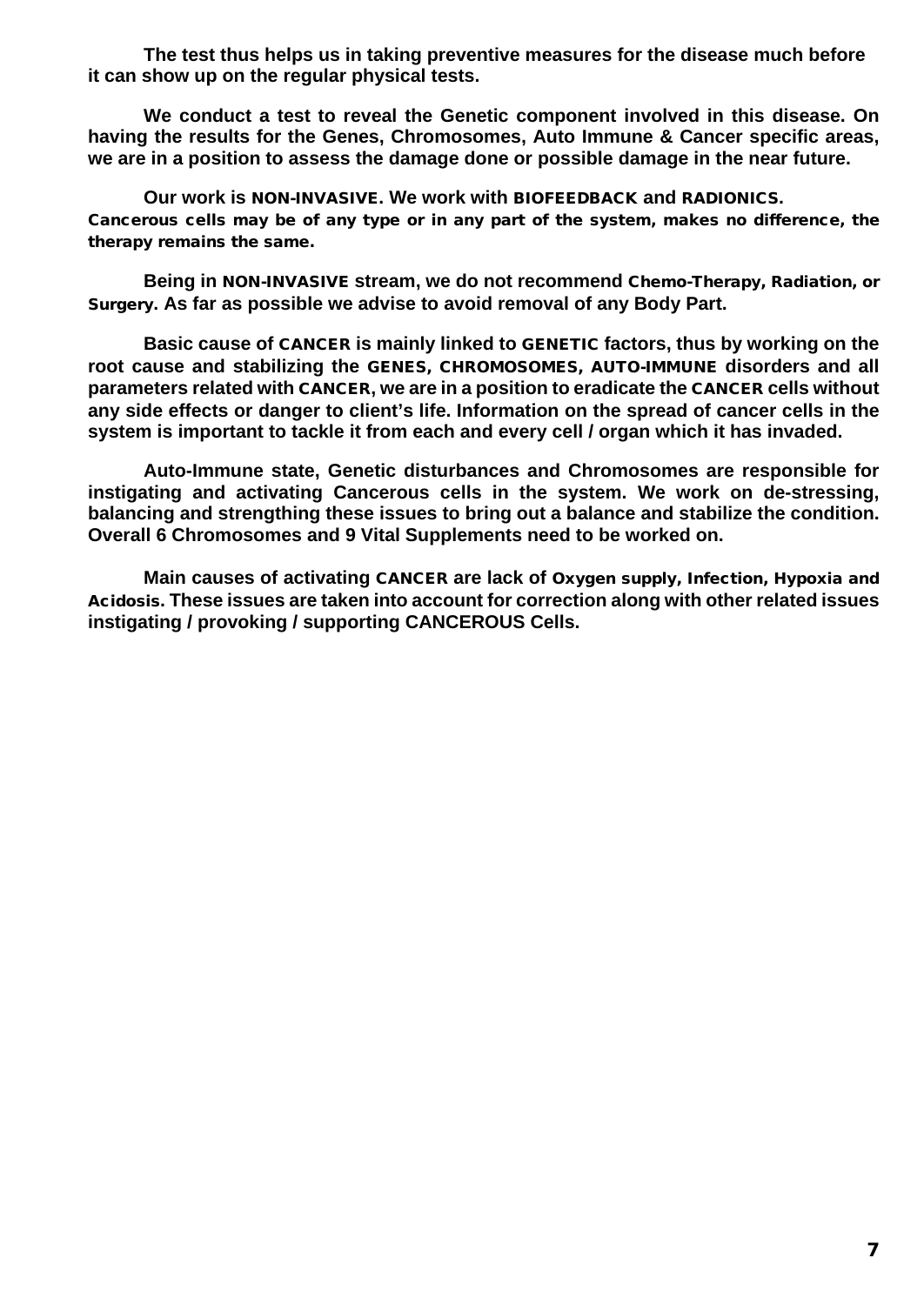**The test thus helps us in taking preventive measures for the disease much before it can show up on the regular physical tests.** 

**We conduct a test to reveal the Genetic component involved in this disease. On having the results for the Genes, Chromosomes, Auto Immune & Cancer specific areas, we are in a position to assess the damage done or possible damage in the near future.** 

**Our work is** NON-INVASIVE**. We work with** BIOFEEDBACK **and** RADIONICS**.** Cancerous cells may be of any type or in any part of the system, makes no difference, the therapy remains the same.

**Being in** NON-INVASIVE **stream, we do not recommend** Chemo-Therapy, Radiation, or Surgery**. As far as possible we advise to avoid removal of any Body Part.** 

**Basic cause of** CANCER **is mainly linked to** GENETIC **factors, thus by working on the root cause and stabilizing the** GENES, CHROMOSOMES, AUTO-IMMUNE **disorders and all parameters related with** CANCER**, we are in a position to eradicate the** CANCER **cells without any side effects or danger to client's life. Information on the spread of cancer cells in the system is important to tackle it from each and every cell / organ which it has invaded.**

**Auto-Immune state, Genetic disturbances and Chromosomes are responsible for instigating and activating Cancerous cells in the system. We work on de-stressing, balancing and strengthing these issues to bring out a balance and stabilize the condition. Overall 6 Chromosomes and 9 Vital Supplements need to be worked on.**

**Main causes of activating** CANCER **are lack of** Oxygen supply, Infection, Hypoxia and Acidosis**. These issues are taken into account for correction along with other related issues instigating / provoking / supporting CANCEROUS Cells.**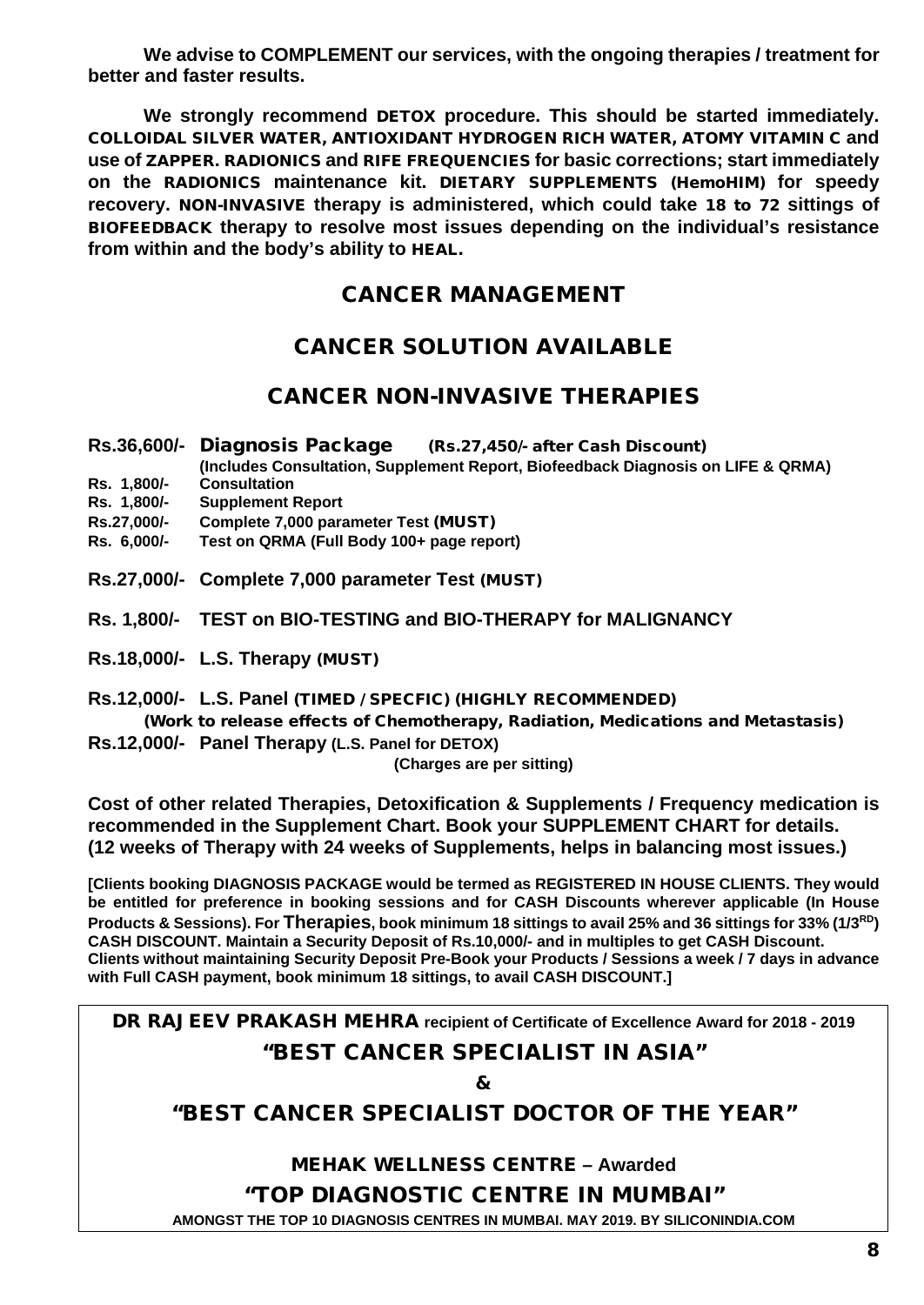**We advise to COMPLEMENT our services, with the ongoing therapies / treatment for better and faster results.**

**We strongly recommend** DETOX **procedure. This should be started immediately.**  COLLOIDAL SILVER WATER, ANTIOXIDANT HYDROGEN RICH WATER, ATOMY VITAMIN C **and use of** ZAPPER**.** RADIONICS **and** RIFE FREQUENCIES **for basic corrections; start immediately on the** RADIONICS **maintenance kit.** DIETARY SUPPLEMENTS (HemoHIM) **for speedy recovery.** NON-INVASIVE **therapy is administered, which could take** 18 to 72 **sittings of**  BIOFEEDBACK **therapy to resolve most issues depending on the individual's resistance from within and the body's ability to** HEAL.

## CANCER MANAGEMENT

## CANCER SOLUTION AVAILABLE

## CANCER NON-INVASIVE THERAPIES

- **Rs.36,600/-** Diagnosis Package (Rs.27,450/- after Cash Discount)
	- **(Includes Consultation, Supplement Report, Biofeedback Diagnosis on LIFE & QRMA)**
- **Rs. 1,800/- Consultation**
- **Supplement Report**
- **Rs.27,000/- Complete 7,000 parameter Test** (MUST)
- **Rs. 6,000/- Test on QRMA (Full Body 100+ page report)**
- **Rs.27,000/- Complete 7,000 parameter Test** (MUST)
- **Rs. 1,800/- TEST on BIO-TESTING and BIO-THERAPY for MALIGNANCY**
- **Rs.18,000/- L.S. Therapy** (MUST)
- **Rs.12,000/- L.S. Panel** (TIMED / SPECFIC) (HIGHLY RECOMMENDED) (Work to release effects of Chemotherapy, Radiation, Medications and Metastasis)
- **Rs.12,000/- Panel Therapy (L.S. Panel for DETOX)**

**(Charges are per sitting)**

**Cost of other related Therapies, Detoxification & Supplements / Frequency medication is recommended in the Supplement Chart. Book your SUPPLEMENT CHART for details. (12 weeks of Therapy with 24 weeks of Supplements, helps in balancing most issues.)**

**[Clients booking DIAGNOSIS PACKAGE would be termed as REGISTERED IN HOUSE CLIENTS. They would be entitled for preference in booking sessions and for CASH Discounts wherever applicable (In House Products & Sessions). For Therapies, book minimum 18 sittings to avail 25% and 36 sittings for 33% (1/3RD) CASH DISCOUNT. Maintain a Security Deposit of Rs.10,000/- and in multiples to get CASH Discount. Clients without maintaining Security Deposit Pre-Book your Products / Sessions a week / 7 days in advance with Full CASH payment, book minimum 18 sittings, to avail CASH DISCOUNT.]**

DR RAJEEV PRAKASH MEHRA **recipient of Certificate of Excellence Award for 2018 - 2019**

## "BEST CANCER SPECIALIST IN ASIA"

 $\boldsymbol{\mathcal{R}}$ 

## "BEST CANCER SPECIALIST DOCTOR OF THE YEAR"

MEHAK WELLNESS CENTRE **– Awarded**

## "TOP DIAGNOSTIC CENTRE IN MUMBAI"

**AMONGST THE TOP 10 DIAGNOSIS CENTRES IN MUMBAI. MAY 2019. BY SILICONINDIA.COM**